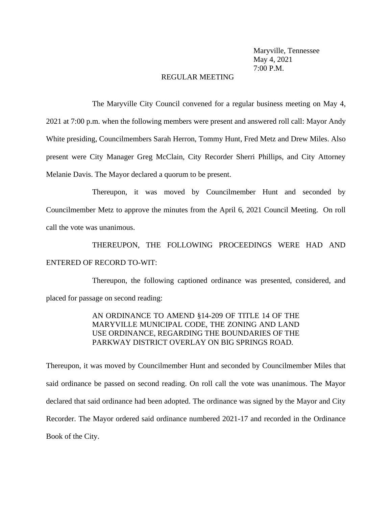Maryville, Tennessee May 4, 2021 7:00 P.M.

#### REGULAR MEETING

The Maryville City Council convened for a regular business meeting on May 4, 2021 at 7:00 p.m. when the following members were present and answered roll call: Mayor Andy White presiding, Councilmembers Sarah Herron, Tommy Hunt, Fred Metz and Drew Miles. Also present were City Manager Greg McClain, City Recorder Sherri Phillips, and City Attorney Melanie Davis. The Mayor declared a quorum to be present.

Thereupon, it was moved by Councilmember Hunt and seconded by Councilmember Metz to approve the minutes from the April 6, 2021 Council Meeting. On roll call the vote was unanimous.

THEREUPON, THE FOLLOWING PROCEEDINGS WERE HAD AND ENTERED OF RECORD TO-WIT:

Thereupon, the following captioned ordinance was presented, considered, and placed for passage on second reading:

> AN ORDINANCE TO AMEND §14-209 OF TITLE 14 OF THE MARYVILLE MUNICIPAL CODE, THE ZONING AND LAND USE ORDINANCE, REGARDING THE BOUNDARIES OF THE PARKWAY DISTRICT OVERLAY ON BIG SPRINGS ROAD.

Thereupon, it was moved by Councilmember Hunt and seconded by Councilmember Miles that said ordinance be passed on second reading. On roll call the vote was unanimous. The Mayor declared that said ordinance had been adopted. The ordinance was signed by the Mayor and City Recorder. The Mayor ordered said ordinance numbered 2021-17 and recorded in the Ordinance Book of the City.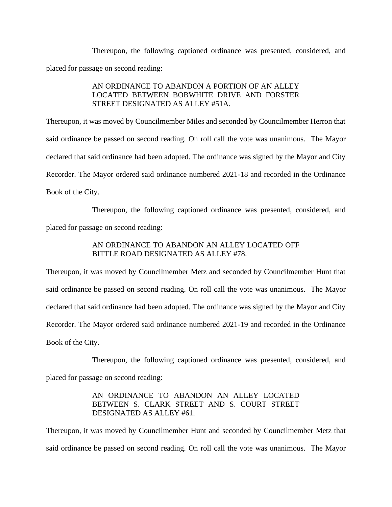Thereupon, the following captioned ordinance was presented, considered, and placed for passage on second reading:

### AN ORDINANCE TO ABANDON A PORTION OF AN ALLEY LOCATED BETWEEN BOBWHITE DRIVE AND FORSTER STREET DESIGNATED AS ALLEY #51A.

Thereupon, it was moved by Councilmember Miles and seconded by Councilmember Herron that said ordinance be passed on second reading. On roll call the vote was unanimous. The Mayor declared that said ordinance had been adopted. The ordinance was signed by the Mayor and City Recorder. The Mayor ordered said ordinance numbered 2021-18 and recorded in the Ordinance Book of the City.

Thereupon, the following captioned ordinance was presented, considered, and placed for passage on second reading:

#### AN ORDINANCE TO ABANDON AN ALLEY LOCATED OFF BITTLE ROAD DESIGNATED AS ALLEY #78.

Thereupon, it was moved by Councilmember Metz and seconded by Councilmember Hunt that said ordinance be passed on second reading. On roll call the vote was unanimous. The Mayor declared that said ordinance had been adopted. The ordinance was signed by the Mayor and City Recorder. The Mayor ordered said ordinance numbered 2021-19 and recorded in the Ordinance Book of the City.

Thereupon, the following captioned ordinance was presented, considered, and placed for passage on second reading:

# AN ORDINANCE TO ABANDON AN ALLEY LOCATED BETWEEN S. CLARK STREET AND S. COURT STREET DESIGNATED AS ALLEY #61.

Thereupon, it was moved by Councilmember Hunt and seconded by Councilmember Metz that said ordinance be passed on second reading. On roll call the vote was unanimous. The Mayor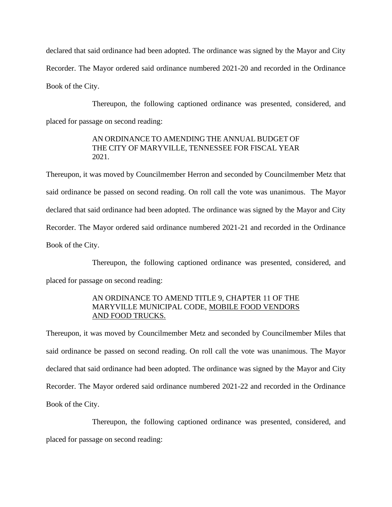declared that said ordinance had been adopted. The ordinance was signed by the Mayor and City Recorder. The Mayor ordered said ordinance numbered 2021-20 and recorded in the Ordinance Book of the City.

Thereupon, the following captioned ordinance was presented, considered, and placed for passage on second reading:

# AN ORDINANCE TO AMENDING THE ANNUAL BUDGET OF THE CITY OF MARYVILLE, TENNESSEE FOR FISCAL YEAR 2021.

Thereupon, it was moved by Councilmember Herron and seconded by Councilmember Metz that said ordinance be passed on second reading. On roll call the vote was unanimous. The Mayor declared that said ordinance had been adopted. The ordinance was signed by the Mayor and City Recorder. The Mayor ordered said ordinance numbered 2021-21 and recorded in the Ordinance Book of the City.

Thereupon, the following captioned ordinance was presented, considered, and placed for passage on second reading:

# AN ORDINANCE TO AMEND TITLE 9, CHAPTER 11 OF THE MARYVILLE MUNICIPAL CODE, MOBILE FOOD VENDORS AND FOOD TRUCKS.

Thereupon, it was moved by Councilmember Metz and seconded by Councilmember Miles that said ordinance be passed on second reading. On roll call the vote was unanimous. The Mayor declared that said ordinance had been adopted. The ordinance was signed by the Mayor and City Recorder. The Mayor ordered said ordinance numbered 2021-22 and recorded in the Ordinance Book of the City.

Thereupon, the following captioned ordinance was presented, considered, and placed for passage on second reading: